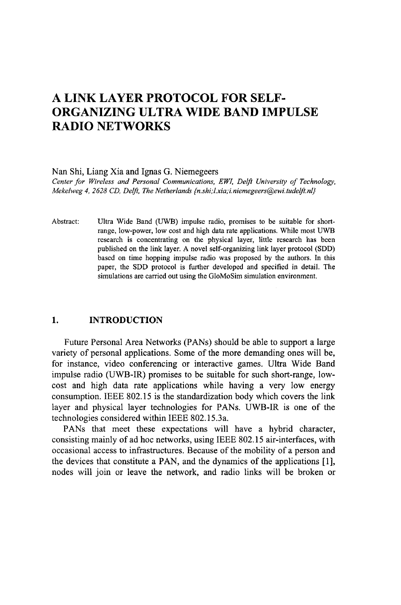# **A LINK LAYER PROTOCOL FOR SELF-ORGANIZING ULTRA WIDE BAND IMPULSE RADIO NETWORKS**

Nan Shi, Liang Xia and Ignas G. Niemegeers

*Center for Wireless and Personal Communications, EWI, Delft University of Technology, Mekelweg 4, 2628 CD, Delft, The Netherlands {n.shi;l.xia;i.niemegeers@ewi.tudelft.nl}* 

Abstract: Ultra Wide Band (UWB) impulse radio, promises to be suitable for shortrange, low-power, low cost and high data rate applications. While most UWB research is concentrating on the physical layer, little research has been published on the link layer. A novel self-organizing link layer protocol (SDD) based on time hopping impulse radio was proposed by the authors. In this paper, the SDD protocol is further developed and specified in detail. The simulations are carried out using the GloMoSim simulation environment.

# **1. INTRODUCTION**

Future Personal Area Networks (PANs) should be able to support a large variety of personal applications. Some of the more demanding ones will be, for instance, video conferencing or interactive games. Ultra Wide Band impulse radio (UWB-IR) promises to be suitable for such short-range, lowcost and high data rate applications while having a very low energy consumption. IEEE 802.15 is the standardization body which covers the link layer and physical layer technologies for PANs. UWB-IR is one of the technologies considered within IEEE 802.15.3a.

PANs that meet these expectations will have a hybrid character, consisting mainly of ad hoc networks, using IEEE 802.15 air-interfaces, with occasional access to infrastructures. Because of the mobility of a person and the devices that constitute a PAN, and the dynamics of the applications [I], nodes will join or leave the network, and radio links will be broken or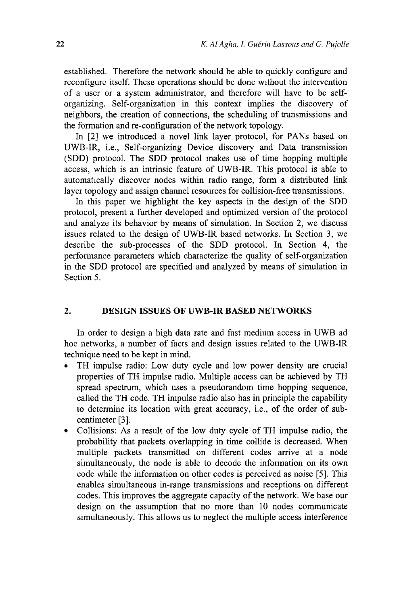established. Therefore the network should be able to quickly configure and reconfigure itself. These operations should be done without the intervention of a user or a system administrator, and therefore will have to be selforganizing. Self-organization in this context implies the discovery of neighbors, the creation of connections, the scheduling of transmissions and the formation and re-configuration of the network topology.

In [2] we introduced a novel link layer protocol, for PANS based on UWB-IR, i.e., Self-organizing Device discovery and Data transmission (SDD) protocol. The SDD protocol makes use of time hopping multiple access, which is an intrinsic feature of UWB-IR. This protocol is able to automatically discover nodes within radio range, form a distributed link layer topology and assign channel resources for collision-free transmissions.

In this paper we highlight the key aspects in the design of the SDD protocol, present a further developed and optimized version of the protocol and analyze its behavior by means of simulation. In Section 2, we discuss issues related to the design of UWB-IR based networks. In Section **3,** we describe the sub-processes of the SDD protocol. In Section 4, the performance parameters which characterize the quality of self-organization in the SDD protocol are specified and analyzed by means of simulation in Section 5.

# **2. DESIGN ISSUES OF UWB-IR BASED NETWORKS**

In order to design a high data rate and fast medium access in UWB ad hoc networks, a number of facts and design issues related to the UWB-IR technique need to be kept in mind.

- TH impulse radio: Low duty cycle and low power density are crucial properties of TH impulse radio. Multiple access can be achieved by TH spread spectrum, which uses a pseudorandom time hopping sequence, called the TH code. TH impulse radio also has in principle the capability to determine its location with great accuracy, i.e., of the order of subcentimeter [3].
- Collisions: As a result of the low duty cycle of TH impulse radio, the probability that packets overlapping in time collide is decreased. When multiple packets transmitted on different codes arrive at a node simultaneously, the node is able to decode the information on its own code while the information on other codes is perceived as noise [5]. This enables simultaneous in-range transmissions and receptions on different codes. This improves the aggregate capacity of the network. We base our design on the assumption that no more than 10 nodes communicate simultaneously. This allows us to neglect the multiple access interference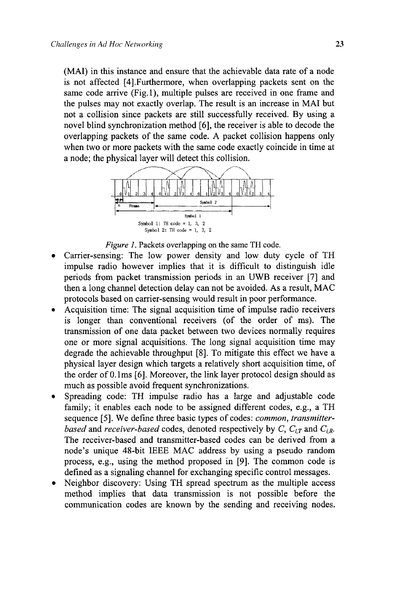(MAI) in this instance and ensure that the achievable data rate of a node is not affected [4].Furthermore, when overlapping packets sent on the same code arrive (Fig.1), multiple pulses are received in one frame and the pulses may not exactly overlap. The result is an increase in MA1 but not a collision since packets are still successfully received. By using a novel blind synchronization method [6], the receiver is able to decode the overlapping packets of the same code. A packet collision happens only when two or more packets with the same code exactly coincide in time at a node; the physical layer will detect this collision.



*Figure* 1. Packets overlapping on the same TH code.

- Carrier-sensing: The low power density and low duty cycle of TH impulse radio however implies that it is difficult to distinguish idle periods from packet transmission periods in an UWB receiver [7] and then a long channel detection delay can not be avoided. As a result, MAC protocols based on carrier-sensing would result in poor performance.
- Acquisition time: The signal acquisition time of impulse radio receivers  $\bullet$ is longer than conventional receivers (of the order of ms). The transmission of one data packet between two devices normally requires one or more signal acquisitions. The long signal acquisition time may degrade the achievable throughput [8]. To mitigate this effect we have a physical layer design which targets a relatively short acquisition time, of the order of 0. lms [6]. Moreover, the link layer protocol design should as much as possible avoid frequent synchronizations.
- Spreading code: TH impulse radio has a large and adjustable code family; it enables each node to be assigned different codes, e.g., a TH sequence [5]. We define three basic types of codes: *common*, transmitterbased and receiver-based codes, denoted respectively by C,  $C_{iT}$  and  $C_{iR}$ . The receiver-based and transmitter-based codes can be derived from a node's unique 48-bit IEEE MAC address by using a pseudo random process, e.g., using the method proposed in [9]. The common code is defined as a signaling channel for exchanging specific control messages.
- Neighbor discovery: Using TH spread spectrum as the multiple access method implies that data transmission is not possible before the communication codes are known by the sending and receiving nodes.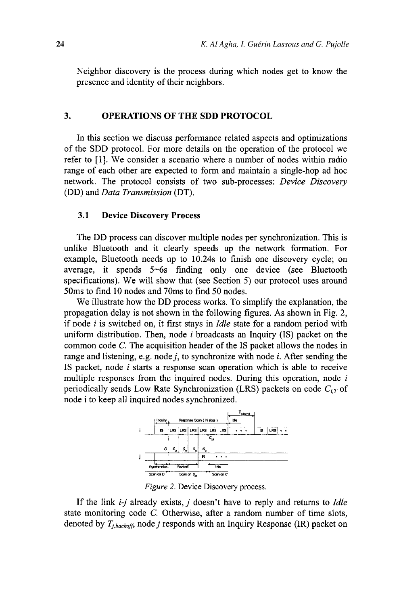Neighbor discovery is the process during which nodes get to know the presence and identity of their neighbors.

### **3. OPERATIONS OF THE SDD PROTOCOL**

In this section we discuss performance related aspects and optimizations of the SDD protocol. For more details on the operation of the protocol we refer to [I]. We consider a scenario where a number of nodes within radio range of each other are expected to form and maintain a single-hop ad hoc network. The protocol consists of two sub-processes: *Device Discovery* (DD) and *Data Transmission* (DT).

#### **3.1 Device Discovery Process**

The DD process can discover multiple nodes per synchronization. This is unlike Bluetooth and it clearly speeds up the network formation. For example, Bluetooth needs up to 10.24s to finish one discovery cycle; on average, it spends 5-6s finding only one device (see Bluetooth specifications). We will show that (see Section 5) our protocol uses around 50ms to find 10 nodes and 70ms to find 50 nodes.

We illustrate how the DD process works. To simplify the explanation, the propagation delay is not shown in the following figures. As shown in Fig. 2, if node *i* is switched on, it first stays in *Idle* state for a random period with uniform distribution. Then, node *i* broadcasts an Inquiry (IS) packet on the common code C. The acquisition header of the IS packet allows the nodes in range and listening, e.g. node j, to synchronize with node *i.* After sending the IS packet, node *i* starts a response scan operation which is able to receive multiple responses from the inquired nodes. During this operation, node *i*  periodically sends Low Rate Synchronization (LRS) packets on code *Ci,T* of node i to keep all inquired nodes synchronized.



*Figure* 2. Device Discovery process.

If the link *i-j* already exists, j doesn't have to reply and returns to *Idle*  state monitoring code C. Otherwise, after a random number of time slots, denoted by  $T_{j,backoff}$ , node *j* responds with an Inquiry Response (IR) packet on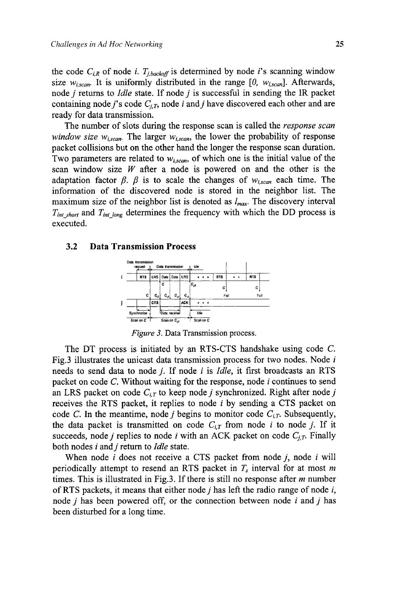the code  $C_{i,R}$  of node i.  $T_{j,backoff}$  is determined by node i's scanning window size  $w_{i,scan}$ . It is uniformly distributed in the range [0,  $w_{i,scan}$ ]. Afterwards, node *j* returns to Idle state. If node *j* is successful in sending the IR packet containing node j's code  $C_{i,T}$ , node i and j have discovered each other and are ready for data transmission.

The number of slots during the response scan is called the *response scan* window size  $w_{i,scan}$ . The larger  $w_{i,scan}$ , the lower the probability of response packet collisions but on the other hand the longer the response scan duration. Two parameters are related to  $w_{i,scan}$ , of which one is the initial value of the scan window size  $W$  after a node is powered on and the other is the adaptation factor  $\beta$ .  $\beta$  is to scale the changes of  $w_{i, scan}$  each time. The information of the discovered node is stored in the neighbor list. The maximum size of the neighbor list is denoted as  $l_{max}$ . The discovery interval  $T_{int short}$  and  $T_{int long}$  determines the frequency with which the DD process is executed.

#### **3.2 Data Transmission Process**



Figure **3.** Data Transmission process.

The DT process is initiated by an RTS-CTS handshake using code C. Fig.3 illustrates the unicast data transmission process for two nodes. Node  $i$ needs to send data to node *j.* If node i is Idle, it first broadcasts an RTS packet on code C. Without waiting for the response, node *i* continues to send an LRS packet on code  $C_{iT}$  to keep node *j* synchronized. Right after node *j* receives the RTS packet, it replies to node i by sending a CTS packet on code C. In the meantime, node *j* begins to monitor code  $C_{i,T}$ . Subsequently, the data packet is transmitted on code  $C_{i,T}$  from node i to node j. If it succeeds, node *j* replies to node *i* with an ACK packet on code  $C_{j,T}$ . Finally both nodes i and *j* return to Idle state.

When node  $i$  does not receive a CTS packet from node  $j$ , node  $i$  will periodically attempt to resend an RTS packet in  $T_s$  interval for at most m times. This is illustrated in Fig.3. If there is still no response after  $m$  number of RTS packets, it means that either node  $j$  has left the radio range of node  $i$ , node *j* has been powered off, or the connection between node i and *j* has been disturbed for a long time.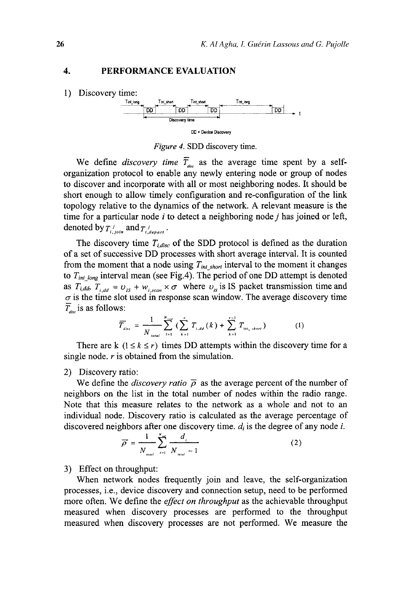#### **4. PERFORMANCE EVALUATION**





*Figure 4. SDD* discovery time.

We define *discovery time*  $\overline{T}_{\text{disc}}$  as the average time spent by a selforganization protocol to enable any newly entering node or group of nodes to discover and incorporate with all or most neighboring nodes. It should be short enough to allow timely configuration and re-configuration of the link topology relative to the dynamics of the network. **A** relevant measure is the time for a particular node *i* to detect a neighboring node *j* has joined or left, denoted by  $T_{i,j}$  and  $T_{i,den}^{j}$ .

The discovery time  $T_{i,disc}$  of the SDD protocol is defined as the duration of a set of successive DD processes with short average interval. It is counted from the moment that a node using  $T_{int short}$  interval to the moment it changes to  $T_{int\_long}$  interval mean (see Fig.4). The period of one DD attempt is denoted as  $T_{i,dd}$ ,  $T_{i,dd} = v_{IS} + w_{i,scan} \times \sigma$  where  $v_{IS}$  is IS packet transmission time and  $\sigma$  is the time slot used in response scan window. The average discovery time  $\overline{T}_{disc}$  is as follows:

$$
\overline{T}_{\text{disc}} = \frac{1}{N_{\text{total}}} \sum_{i=1}^{N_{\text{total}}} \left( \sum_{k=1}^{r} T_{i,dd}(k) + \sum_{k=1}^{r-1} T_{\text{int\_short}} \right) \tag{1}
$$

There are k  $(1 \le k \le r)$  times DD attempts within the discovery time for a single node. *r* is obtained from the simulation.

#### 2) Discovery ratio:

We define the *discovery ratio*  $\overline{\rho}$  as the average percent of the number of neighbors on the list in the total number of nodes within the radio range. Note that this measure relates to the network as a whole and not to an individual node. Discovery ratio is calculated as the average percentage of discovered neighbors after one discovery time. *di* is the degree of any node *i.* 

$$
\overline{\rho} = \frac{1}{N_{\text{total}}} \sum_{i=1}^{N_{\infty}} \frac{d_i}{N_{\text{total}} - 1} \tag{2}
$$

**3)** Effect on throughput:

When network nodes frequently join and leave, the self-organization processes, i.e., device discovery and connection setup, need to be performed more often. We define the *effect on throughput* as the achievable throughput measured when discovery processes are performed to the throughput measured when discovery processes are not performed. We measure the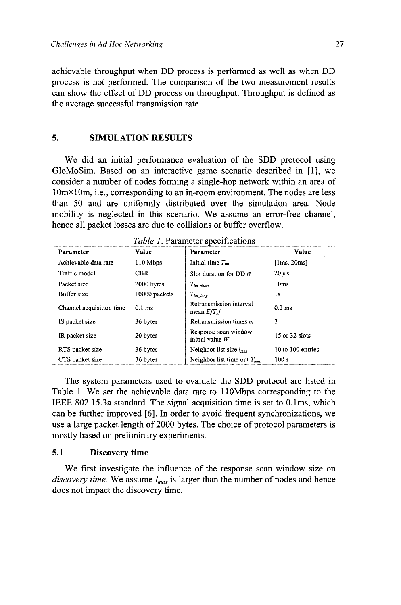achievable throughput when DD process is performed as well as when DD process is not performed. The comparison of the two measurement results can show the effect of DD process on throughput. Throughput is defined as the average successful transmission rate.

## **5. SIMULATION RESULTS**

We did an initial performance evaluation of the SDD protocol using GloMoSim. Based on an interactive game scenario described in [I], we consider a number of nodes forming a single-hop network within an area of  $10m \times 10m$ , i.e., corresponding to an in-room environment. The nodes are less than 50 and are uniformly distributed over the simulation area. Node mobility is neglected in this scenario. We assume an error-free channel, hence all packet losses are due to collisions or buffer overflow.

| <i>e</i> avic 1.1 and de con obechneutions |               |                                           |                   |
|--------------------------------------------|---------------|-------------------------------------------|-------------------|
| Parameter                                  | Value         | Parameter                                 | Value             |
| Achievable data rate                       | 110 Mbps      | Initial time $T_{int}$                    | [1ms, 20ms]       |
| Traffic model                              | <b>CBR</b>    | Slot duration for DD $\sigma$             | $20 \mu s$        |
| Packet size                                | 2000 bytes    | $T_{int\_short}$                          | 10ms              |
| Buffer size                                | 10000 packets | $T_{\text{int\_long}}$                    | 1s                |
| Channel acquisition time                   | $0.1$ ms      | Retransmission interval<br>mean $E/T_s$   | $0.2$ ms          |
| IS packet size                             | 36 bytes      | Retransmission times m                    | 3                 |
| IR packet size                             | 20 bytes      | Response scan window<br>initial value $W$ | 15 or 32 slots    |
| RTS packet size                            | 36 bytes      | Neighbor list size $l_{max}$              | 10 to 100 entries |
| CTS packet size                            | 36 bytes      | Neighbor list time out $T_{\text{max}}$   | 100 <sub>s</sub>  |

Table 1 Parameter specifications

The system parameters used to evaluate the SDD protocol are listed in Table 1. We set the achievable data rate to 1 IOMbps corresponding to the IEEE 802.15.3a standard. The signal acquisition time is set to O.lms, which can be further improved [6]. In order to avoid frequent synchronizations, we use a large packet length of 2000 bytes. The choice of protocol parameters is mostly based on preliminary experiments.

# **5.1 Discovery time**

We first investigate the influence of the response scan window size on *discovery time.* We assume  $l_{max}$  is larger than the number of nodes and hence does not impact the discovery time.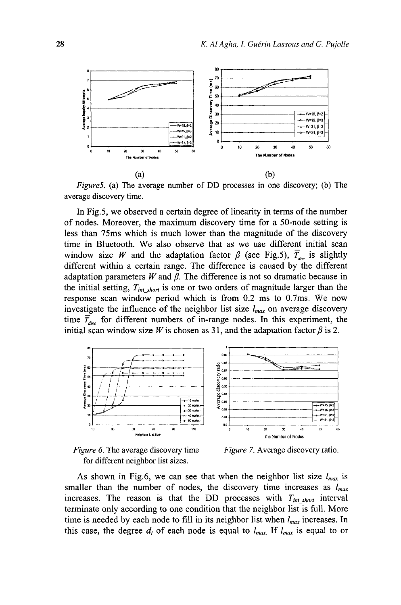

*Figure5.* (a) The average number of DD processes in one discovery; (b) The average discovery time.

In Fig.5, we observed a certain degree of linearity in terms of the number of nodes. Moreover, the maximum discovery time for a 50-node setting is less than 75ms which is much lower than the magnitude of the discovery time in Bluetooth. We also observe that as we use different initial scan window size W and the adaptation factor  $\beta$  (see Fig.5),  $\overline{T}_{\alpha}$  is slightly different within a certain range. The difference is caused by the different adaptation parameters W and  $\beta$ . The difference is not so dramatic because in the initial setting,  $T_{int short}$  is one or two orders of magnitude larger than the response scan window period which is from 0.2 ms to 0.7ms. We now investigate the influence of the neighbor list size  $l_{max}$  on average discovery time  $\overline{T}_{disc}$  for different numbers of in-range nodes. In this experiment, the initial scan window size W is chosen as 31, and the adaptation factor  $\beta$  is 2.



*Figure 6.* The average discovery time *Figure 7.* Average discovery ratio. for different neighbor list sizes.

As shown in Fig.6, we can see that when the neighbor list size  $I_{max}$  is smaller than the number of nodes, the discovery time increases as  $l_{max}$ increases. The reason is that the DD processes with  $T_{int\_short}$  interval terminate only according to one condition that the neighbor list is full. More time is needed by each node to fill in its neighbor list when  $I_{max}$  increases. In this case, the degree  $d_i$  of each node is equal to  $l_{max}$ . If  $l_{max}$  is equal to or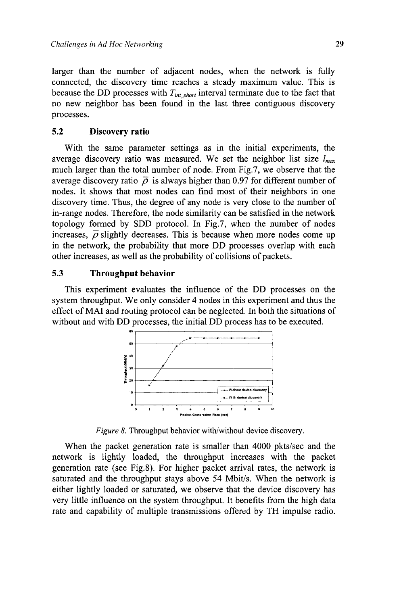larger than the number of adjacent nodes, when the network is fully connected, the discovery time reaches a steady maximum value. This is because the DD processes with  $T_{int short}$  interval terminate due to the fact that no new neighbor has been found in the last three contiguous discovery processes.

### **5.2 Discovery ratio**

With the same parameter settings as in the initial experiments, the average discovery ratio was measured. We set the neighbor list size  $l_{max}$ much larger than the total number of node. From Fig.7, we observe that the average discovery ratio  $\bar{\rho}$  is always higher than 0.97 for different number of nodes. It shows that most nodes can find most of their neighbors in one discovery time. Thus, the degree of any node is very close to the number of in-range nodes. Therefore, the node similarity can be satisfied in the network topology formed by SDD protocol. In Fig.7, when the number of nodes increases,  $\overline{\rho}$  slightly decreases. This is because when more nodes come up in the network, the probability that more DD processes overlap with each other increases, as well as the probability of collisions of packets.

### **5.3 Throughput behavior**

This experiment evaluates the influence of the DD processes on the system throughput. We only consider 4 nodes in this experiment and thus the effect of MA1 and routing protocol can be neglected. In both the situations of without and with DD processes, the initial DD process has to be executed.



*Figure 8*. Throughput behavior with/without device discovery.

When the packet generation rate is smaller than 4000 pkts/sec and the network is lightly loaded, the throughput increases with the packet generation rate (see Fig.8). For higher packet arrival rates, the network is saturated and the throughput stays above 54 Mbit/s. When the network is either lightly loaded or saturated, we observe that the device discovery has very little influence on the system throughput. It benefits from the high data rate and capability of multiple transmissions offered by TH impulse radio.